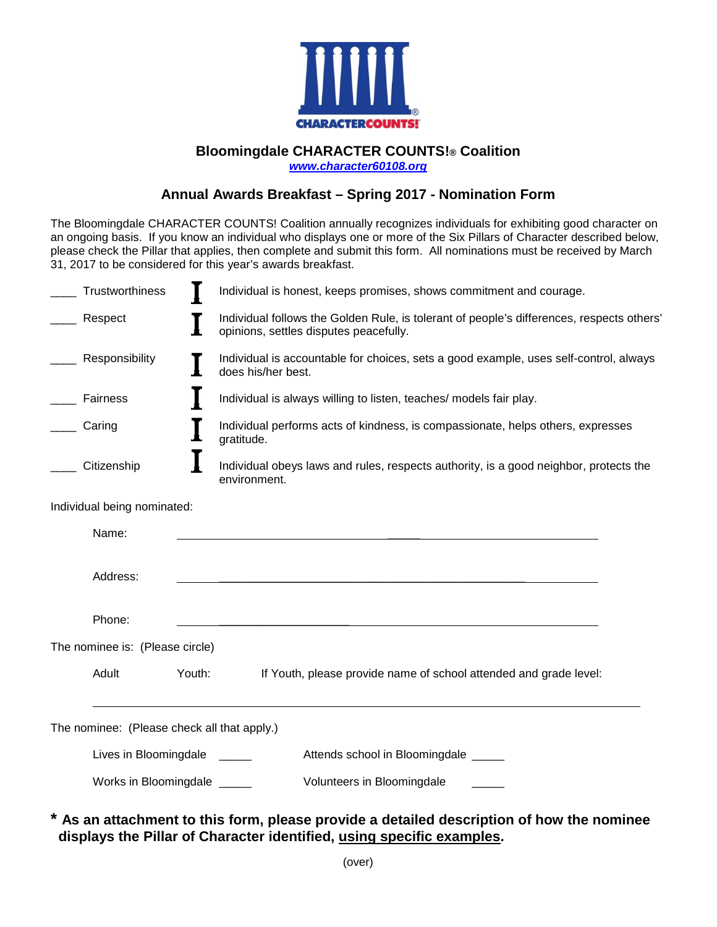

## **Bloomingdale CHARACTER COUNTS!® Coalition** *www.character60108.org*

## **Annual Awards Breakfast – Spring 2017 - Nomination Form**

The Bloomingdale CHARACTER COUNTS! Coalition annually recognizes individuals for exhibiting good character on an ongoing basis. If you know an individual who displays one or more of the Six Pillars of Character described below, please check the Pillar that applies, then complete and submit this form. All nominations must be received by March 31, 2017 to be considered for this year's awards breakfast.

| Trustworthiness                                                     | Individual is honest, keeps promises, shows commitment and courage.                                                                 |  |
|---------------------------------------------------------------------|-------------------------------------------------------------------------------------------------------------------------------------|--|
| Respect                                                             | Individual follows the Golden Rule, is tolerant of people's differences, respects others'<br>opinions, settles disputes peacefully. |  |
| Responsibility                                                      | Individual is accountable for choices, sets a good example, uses self-control, always<br>does his/her best.                         |  |
| Fairness                                                            | Individual is always willing to listen, teaches/ models fair play.                                                                  |  |
| Caring                                                              | Individual performs acts of kindness, is compassionate, helps others, expresses<br>gratitude.                                       |  |
| Citizenship                                                         | Individual obeys laws and rules, respects authority, is a good neighbor, protects the<br>environment.                               |  |
| Individual being nominated:                                         |                                                                                                                                     |  |
| Name:                                                               |                                                                                                                                     |  |
| Address:                                                            |                                                                                                                                     |  |
| Phone:                                                              |                                                                                                                                     |  |
| The nominee is: (Please circle)                                     |                                                                                                                                     |  |
| Adult                                                               | Youth:<br>If Youth, please provide name of school attended and grade level:                                                         |  |
| The nominee: (Please check all that apply.)                         |                                                                                                                                     |  |
| Lives in Bloomingdale _____<br>Attends school in Bloomingdale _____ |                                                                                                                                     |  |
| Works in Bloomingdale                                               | Volunteers in Bloomingdale                                                                                                          |  |

**\* As an attachment to this form, please provide a detailed description of how the nominee displays the Pillar of Character identified, using specific examples.**